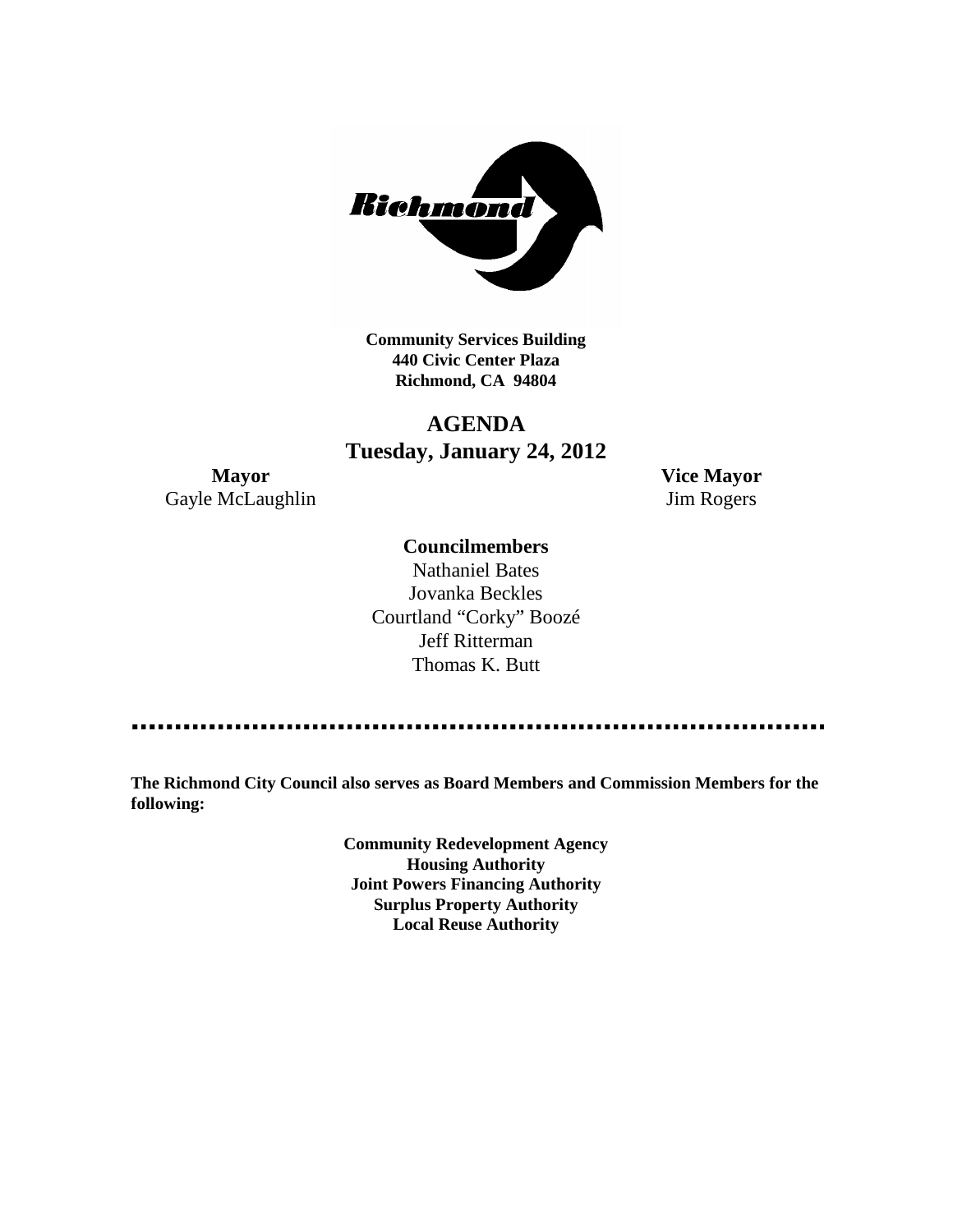

**Community Services Building 440 Civic Center Plaza Richmond, CA 94804**

## **AGENDA Tuesday, January 24, 2012**

**Mayor Vice Mayor** Gayle McLaughlin Jim Rogers

## **Councilmembers**

Nathaniel Bates Jovanka Beckles Courtland "Corky" Boozé Jeff Ritterman Thomas K. Butt

**The Richmond City Council also serves as Board Members and Commission Members for the following:**

> **Community Redevelopment Agency Housing Authority Joint Powers Financing Authority Surplus Property Authority Local Reuse Authority**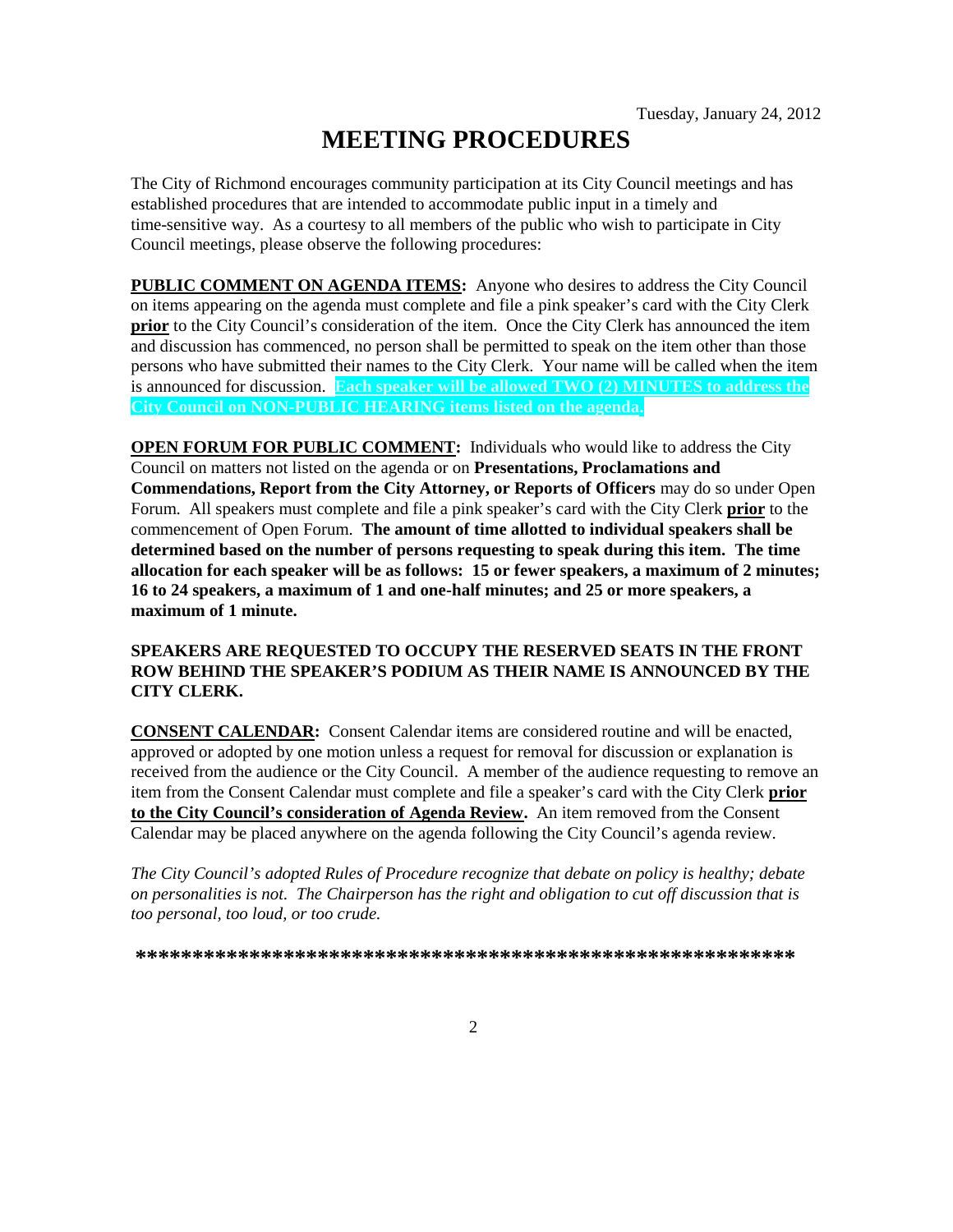# **MEETING PROCEDURES**

The City of Richmond encourages community participation at its City Council meetings and has established procedures that are intended to accommodate public input in a timely and time-sensitive way. As a courtesy to all members of the public who wish to participate in City Council meetings, please observe the following procedures:

**PUBLIC COMMENT ON AGENDA ITEMS:** Anyone who desires to address the City Council on items appearing on the agenda must complete and file a pink speaker's card with the City Clerk **prior** to the City Council's consideration of the item. Once the City Clerk has announced the item and discussion has commenced, no person shall be permitted to speak on the item other than those persons who have submitted their names to the City Clerk. Your name will be called when the item is announced for discussion. **Each speaker will be allowed TWO (2) MINUTES to address the City Council on NON-PUBLIC HEARING items listed on the agenda.**

**OPEN FORUM FOR PUBLIC COMMENT:** Individuals who would like to address the City Council on matters not listed on the agenda or on **Presentations, Proclamations and Commendations, Report from the City Attorney, or Reports of Officers** may do so under Open Forum. All speakers must complete and file a pink speaker's card with the City Clerk **prior** to the commencement of Open Forum. **The amount of time allotted to individual speakers shall be determined based on the number of persons requesting to speak during this item. The time allocation for each speaker will be as follows: 15 or fewer speakers, a maximum of 2 minutes; 16 to 24 speakers, a maximum of 1 and one-half minutes; and 25 or more speakers, a maximum of 1 minute.**

## **SPEAKERS ARE REQUESTED TO OCCUPY THE RESERVED SEATS IN THE FRONT ROW BEHIND THE SPEAKER'S PODIUM AS THEIR NAME IS ANNOUNCED BY THE CITY CLERK.**

**CONSENT CALENDAR:** Consent Calendar items are considered routine and will be enacted, approved or adopted by one motion unless a request for removal for discussion or explanation is received from the audience or the City Council. A member of the audience requesting to remove an item from the Consent Calendar must complete and file a speaker's card with the City Clerk **prior to the City Council's consideration of Agenda Review.** An item removed from the Consent Calendar may be placed anywhere on the agenda following the City Council's agenda review.

*The City Council's adopted Rules of Procedure recognize that debate on policy is healthy; debate on personalities is not. The Chairperson has the right and obligation to cut off discussion that is too personal, too loud, or too crude.*

**\*\*\*\*\*\*\*\*\*\*\*\*\*\*\*\*\*\*\*\*\*\*\*\*\*\*\*\*\*\*\*\*\*\*\*\*\*\*\*\*\*\*\*\*\*\*\*\*\*\*\*\*\*\*\*\*\*\***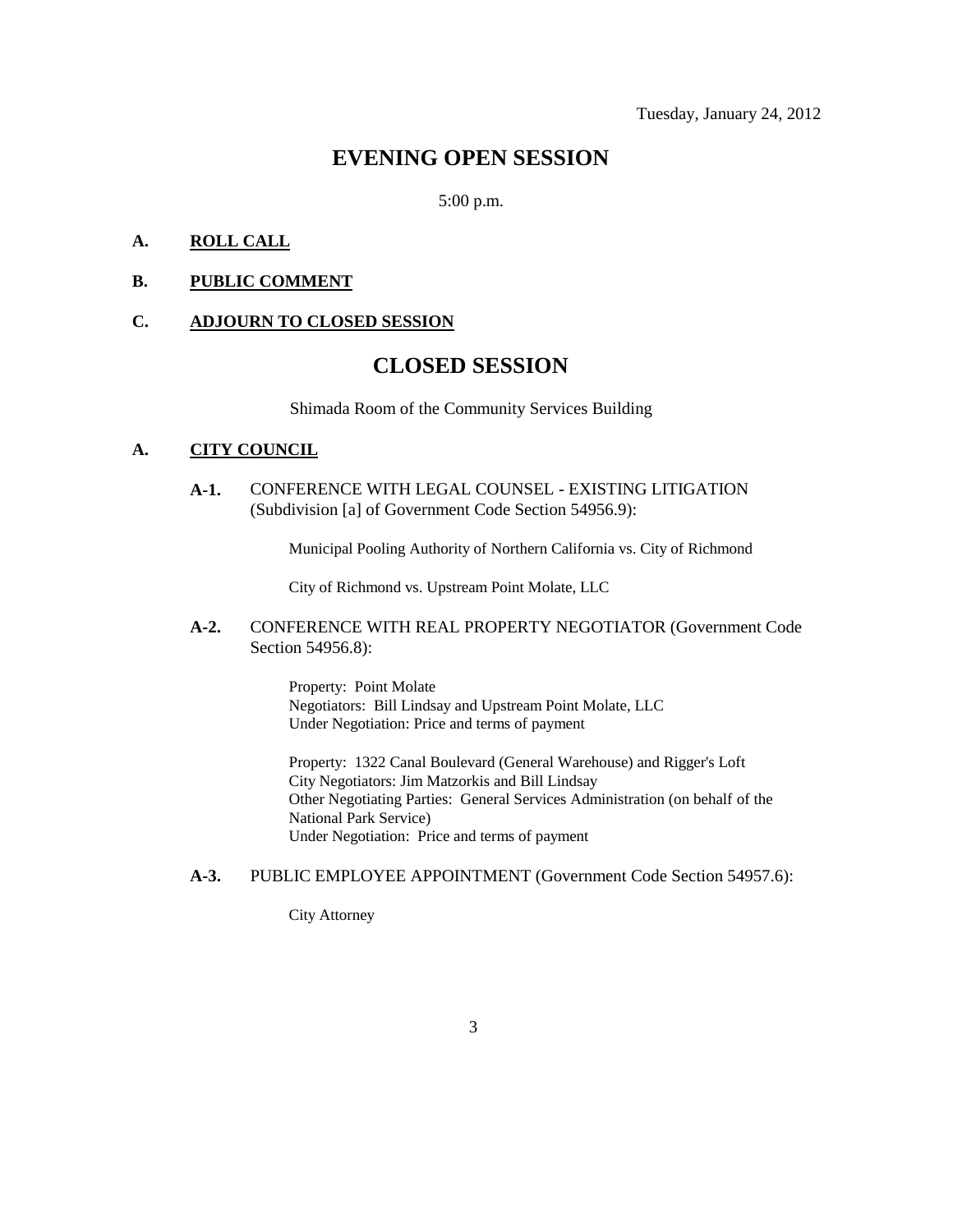## **EVENING OPEN SESSION**

5:00 p.m.

## **A. ROLL CALL**

## **B. PUBLIC COMMENT**

#### **C. ADJOURN TO CLOSED SESSION**

## **CLOSED SESSION**

Shimada Room of the Community Services Building

### **A. CITY COUNCIL**

**A-1.** CONFERENCE WITH LEGAL COUNSEL - EXISTING LITIGATION (Subdivision [a] of Government Code Section 54956.9):

Municipal Pooling Authority of Northern California vs. City of Richmond

City of Richmond vs. Upstream Point Molate, LLC

## **A-2.** CONFERENCE WITH REAL PROPERTY NEGOTIATOR (Government Code Section 54956.8):

Property: Point Molate Negotiators: Bill Lindsay and Upstream Point Molate, LLC Under Negotiation: Price and terms of payment

Property: 1322 Canal Boulevard (General Warehouse) and Rigger's Loft City Negotiators: Jim Matzorkis and Bill Lindsay Other Negotiating Parties: General Services Administration (on behalf of the National Park Service) Under Negotiation: Price and terms of payment

### **A-3.** PUBLIC EMPLOYEE APPOINTMENT (Government Code Section 54957.6):

City Attorney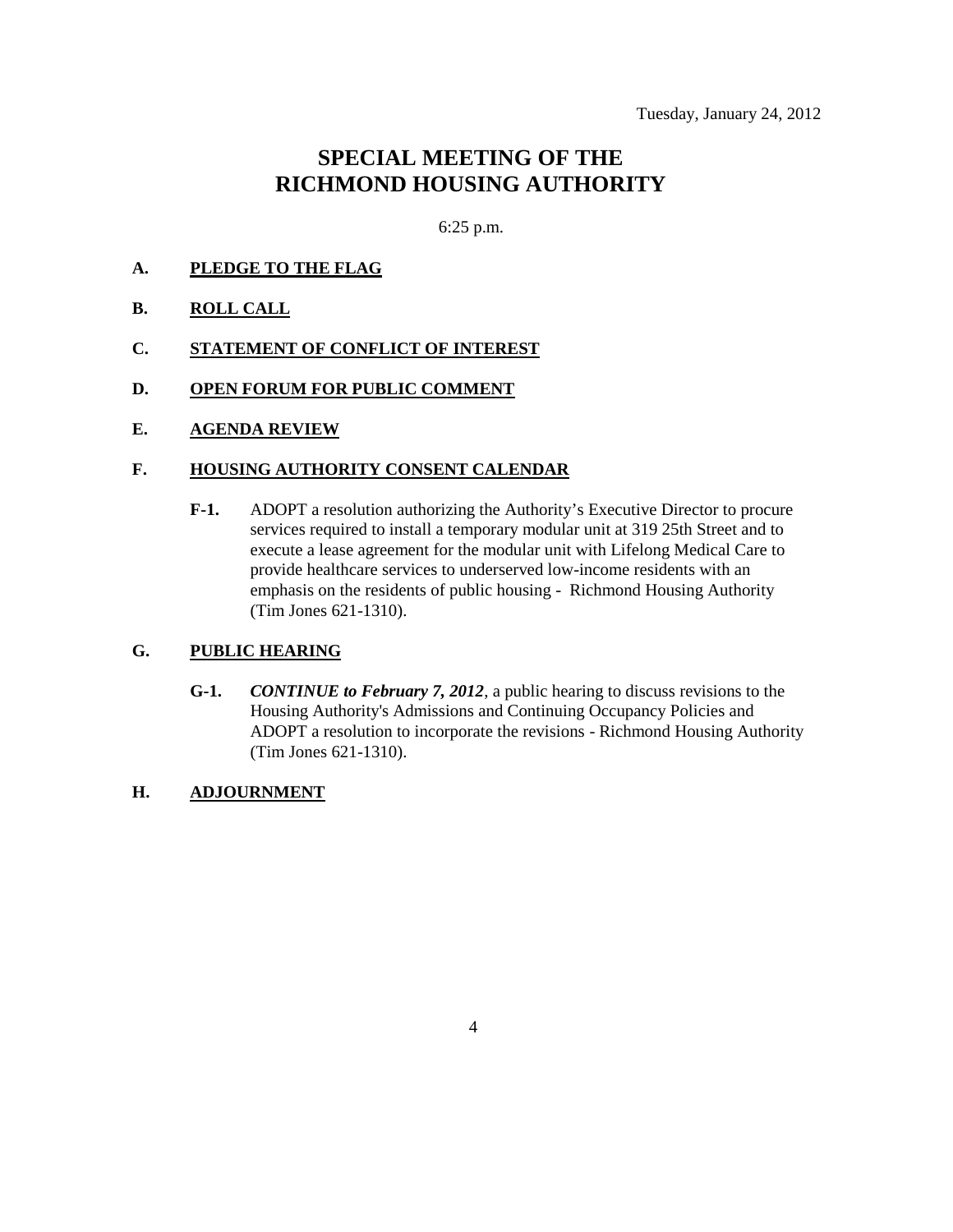## **SPECIAL MEETING OF THE RICHMOND HOUSING AUTHORITY**

6:25 p.m.

- **A. PLEDGE TO THE FLAG**
- **B. ROLL CALL**
- **C. STATEMENT OF CONFLICT OF INTEREST**
- **D. OPEN FORUM FOR PUBLIC COMMENT**
- **E. AGENDA REVIEW**

## **F. HOUSING AUTHORITY CONSENT CALENDAR**

**F-1.** ADOPT a resolution authorizing the Authority's Executive Director to procure services required to install a temporary modular unit at 319 25th Street and to execute a lease agreement for the modular unit with Lifelong Medical Care to provide healthcare services to underserved low-income residents with an emphasis on the residents of public housing - Richmond Housing Authority (Tim Jones 621-1310).

## **G. PUBLIC HEARING**

**G-1.** *CONTINUE to February 7, 2012*, a public hearing to discuss revisions to the Housing Authority's Admissions and Continuing Occupancy Policies and ADOPT a resolution to incorporate the revisions - Richmond Housing Authority (Tim Jones 621-1310).

## **H. ADJOURNMENT**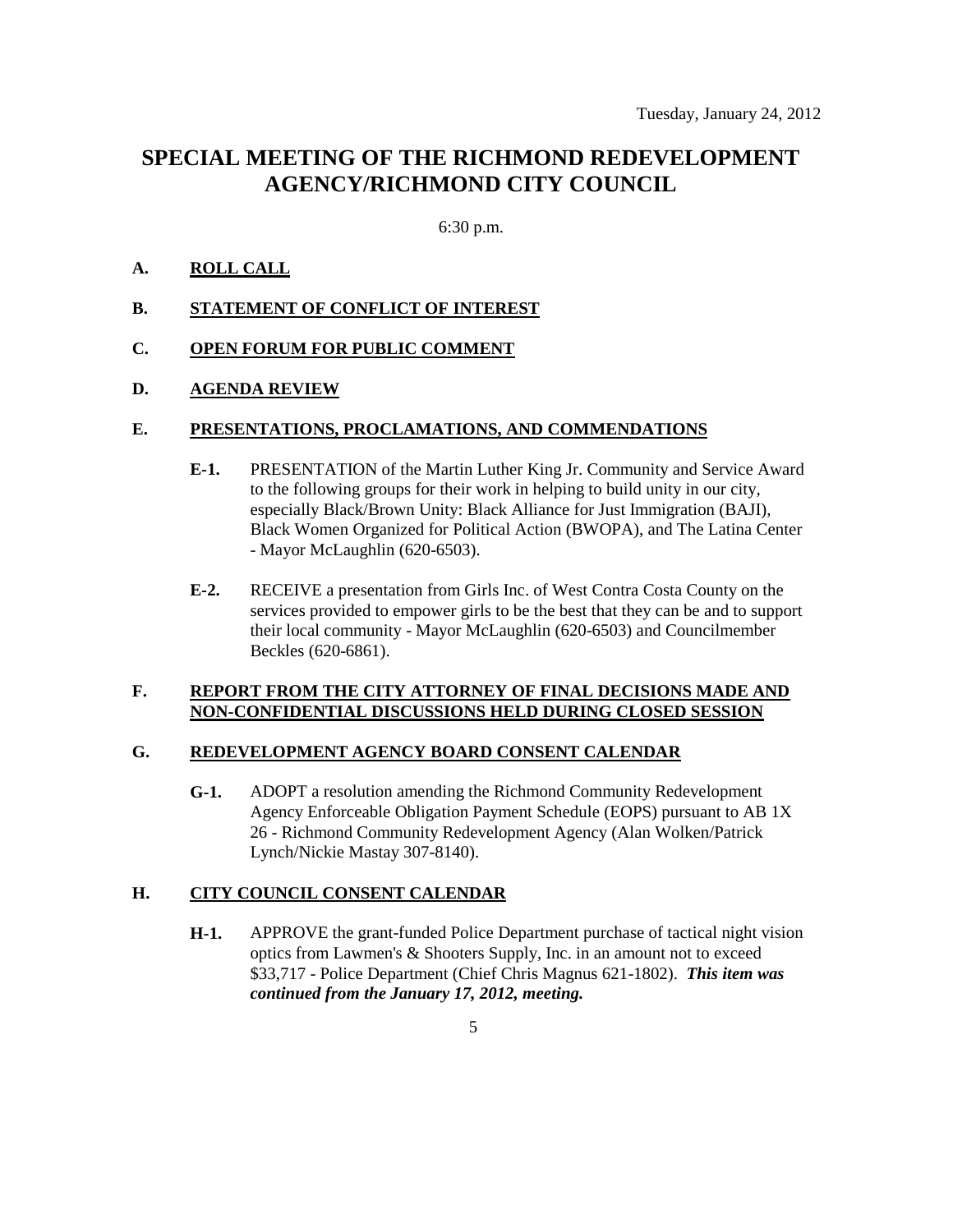## **SPECIAL MEETING OF THE RICHMOND REDEVELOPMENT AGENCY/RICHMOND CITY COUNCIL**

## 6:30 p.m.

## **A. ROLL CALL**

**B. STATEMENT OF CONFLICT OF INTEREST**

## **C. OPEN FORUM FOR PUBLIC COMMENT**

## **D. AGENDA REVIEW**

### **E. PRESENTATIONS, PROCLAMATIONS, AND COMMENDATIONS**

- **E-1.** PRESENTATION of the Martin Luther King Jr. Community and Service Award to the following groups for their work in helping to build unity in our city, especially Black/Brown Unity: Black Alliance for Just Immigration (BAJI), Black Women Organized for Political Action (BWOPA), and The Latina Center - Mayor McLaughlin (620-6503).
- **E-2.** RECEIVE a presentation from Girls Inc. of West Contra Costa County on the services provided to empower girls to be the best that they can be and to support their local community - Mayor McLaughlin (620-6503) and Councilmember Beckles (620-6861).

### **F. REPORT FROM THE CITY ATTORNEY OF FINAL DECISIONS MADE AND NON-CONFIDENTIAL DISCUSSIONS HELD DURING CLOSED SESSION**

#### **G. REDEVELOPMENT AGENCY BOARD CONSENT CALENDAR**

**G-1.** ADOPT a resolution amending the Richmond Community Redevelopment Agency Enforceable Obligation Payment Schedule (EOPS) pursuant to AB 1X 26 - Richmond Community Redevelopment Agency (Alan Wolken/Patrick Lynch/Nickie Mastay 307-8140).

## **H. CITY COUNCIL CONSENT CALENDAR**

**H-1.** APPROVE the grant-funded Police Department purchase of tactical night vision optics from Lawmen's & Shooters Supply, Inc. in an amount not to exceed \$33,717 - Police Department (Chief Chris Magnus 621-1802). *This item was continued from the January 17, 2012, meeting.*